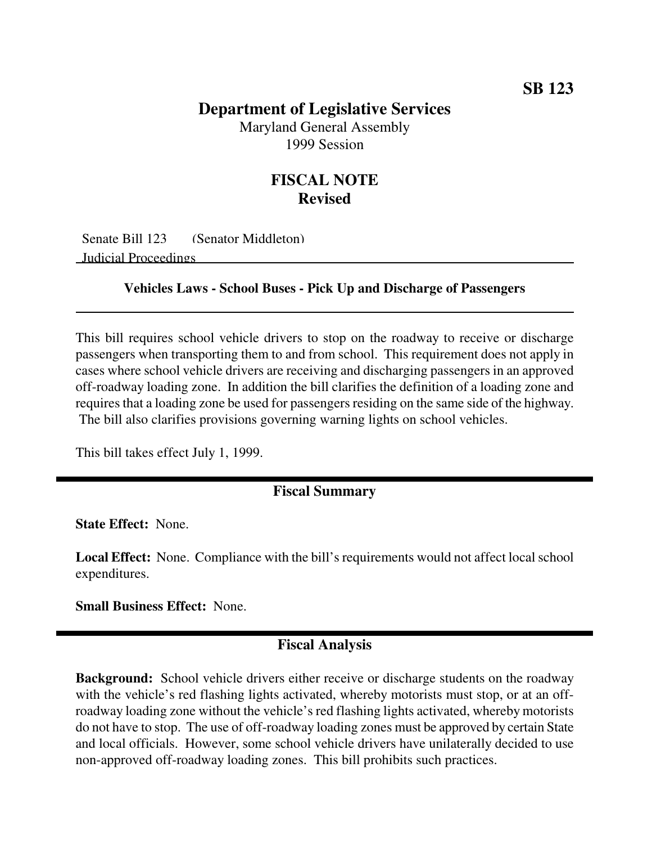# **Department of Legislative Services**

Maryland General Assembly 1999 Session

## **FISCAL NOTE Revised**

Senate Bill 123 (Senator Middleton) Judicial Proceedings

#### **Vehicles Laws - School Buses - Pick Up and Discharge of Passengers**

This bill requires school vehicle drivers to stop on the roadway to receive or discharge passengers when transporting them to and from school. This requirement does not apply in cases where school vehicle drivers are receiving and discharging passengers in an approved off-roadway loading zone. In addition the bill clarifies the definition of a loading zone and requires that a loading zone be used for passengers residing on the same side of the highway. The bill also clarifies provisions governing warning lights on school vehicles.

This bill takes effect July 1, 1999.

### **Fiscal Summary**

**State Effect:** None.

Local Effect: None. Compliance with the bill's requirements would not affect local school expenditures.

**Small Business Effect:** None.

#### **Fiscal Analysis**

**Background:** School vehicle drivers either receive or discharge students on the roadway with the vehicle's red flashing lights activated, whereby motorists must stop, or at an offroadway loading zone without the vehicle's red flashing lights activated, whereby motorists do not have to stop. The use of off-roadway loading zones must be approved by certain State and local officials. However, some school vehicle drivers have unilaterally decided to use non-approved off-roadway loading zones. This bill prohibits such practices.